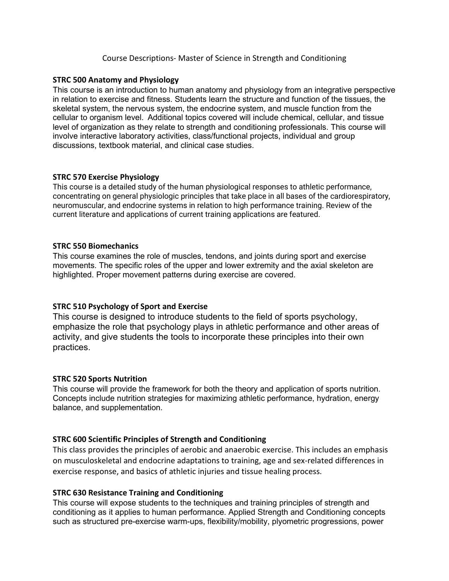### Course Descriptions- Master of Science in Strength and Conditioning

#### **STRC 500 Anatomy and Physiology**

This course is an introduction to human anatomy and physiology from an integrative perspective in relation to exercise and fitness. Students learn the structure and function of the tissues, the skeletal system, the nervous system, the endocrine system, and muscle function from the cellular to organism level.  Additional topics covered will include chemical, cellular, and tissue level of organization as they relate to strength and conditioning professionals. This course will involve interactive laboratory activities, class/functional projects, individual and group discussions, textbook material, and clinical case studies. 

### **STRC 570 Exercise Physiology**

This course is a detailed study of the human physiological responses to athletic performance, concentrating on general physiologic principles that take place in all bases of the cardiorespiratory, neuromuscular, and endocrine systems in relation to high performance training. Review of the current literature and applications of current training applications are featured.

### **STRC 550 Biomechanics**

This course examines the role of muscles, tendons, and joints during sport and exercise movements. The specific roles of the upper and lower extremity and the axial skeleton are highlighted. Proper movement patterns during exercise are covered. 

## **STRC 510 Psychology of Sport and Exercise**

This course is designed to introduce students to the field of sports psychology, emphasize the role that psychology plays in athletic performance and other areas of activity, and give students the tools to incorporate these principles into their own practices.

#### **STRC 520 Sports Nutrition**

This course will provide the framework for both the theory and application of sports nutrition. Concepts include nutrition strategies for maximizing athletic performance, hydration, energy balance, and supplementation.

## **STRC 600 Scientific Principles of Strength and Conditioning**

This class provides the principles of aerobic and anaerobic exercise. This includes an emphasis on musculoskeletal and endocrine adaptations to training, age and sex-related differences in exercise response, and basics of athletic injuries and tissue healing process.

#### **STRC 630 Resistance Training and Conditioning**

This course will expose students to the techniques and training principles of strength and conditioning as it applies to human performance. Applied Strength and Conditioning concepts such as structured pre-exercise warm-ups, flexibility/mobility, plyometric progressions, power